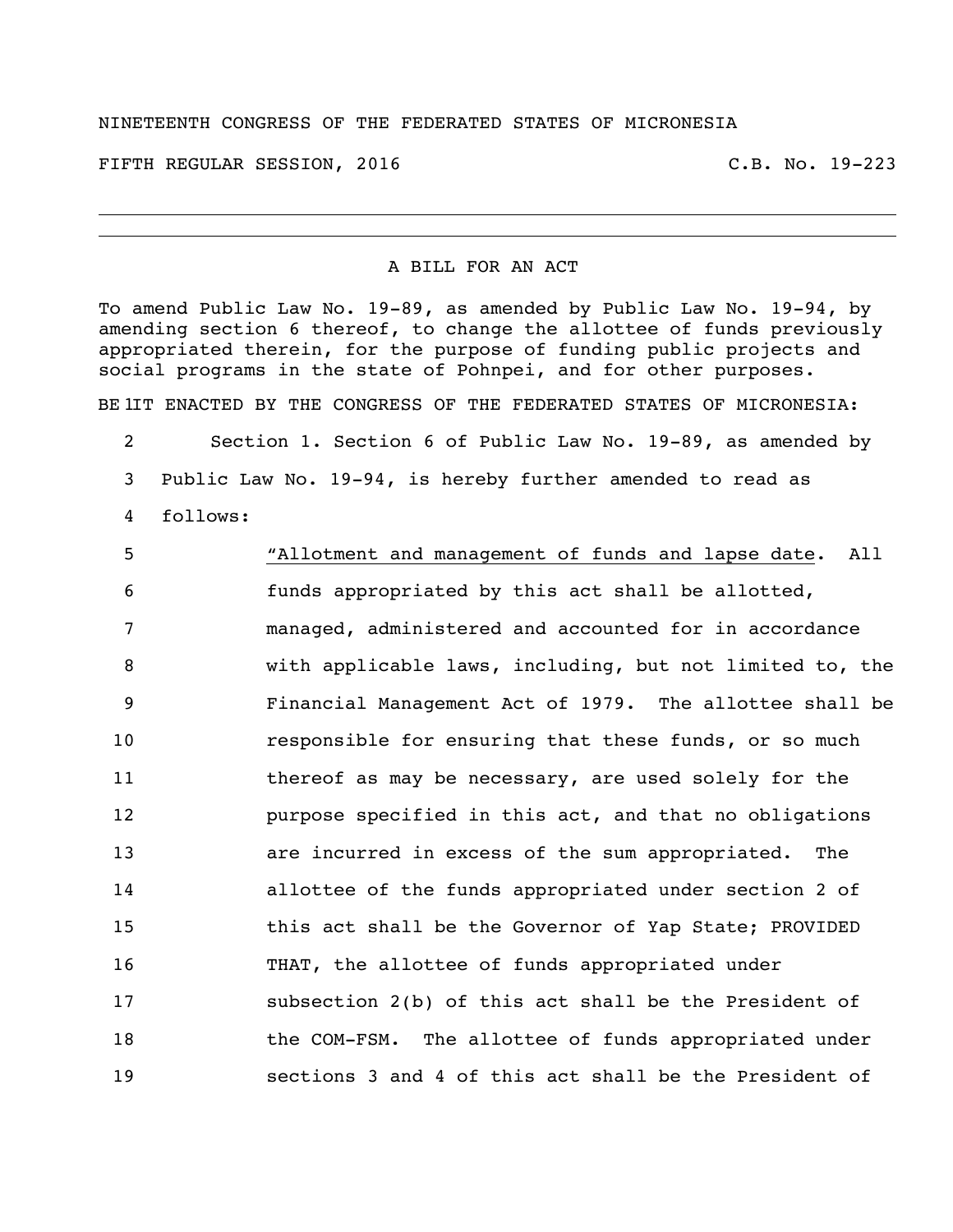## NINETEENTH CONGRESS OF THE FEDERATED STATES OF MICRONESIA

FIFTH REGULAR SESSION, 2016 C.B. No. 19-223

## A BILL FOR AN ACT

To amend Public Law No. 19-89, as amended by Public Law No. 19-94, by amending section 6 thereof, to change the allottee of funds previously appropriated therein, for the purpose of funding public projects and social programs in the state of Pohnpei, and for other purposes.

BE IIT ENACTED BY THE CONGRESS OF THE FEDERATED STATES OF MICRONESIA:

 Section 1. Section 6 of Public Law No. 19-89, as amended by Public Law No. 19-94, is hereby further amended to read as follows:

 "Allotment and management of funds and lapse date. All funds appropriated by this act shall be allotted, managed, administered and accounted for in accordance with applicable laws, including, but not limited to, the Financial Management Act of 1979. The allottee shall be responsible for ensuring that these funds, or so much 11 thereof as may be necessary, are used solely for the **purpose specified in this act, and that no obligations**  are incurred in excess of the sum appropriated. The allottee of the funds appropriated under section 2 of 15 this act shall be the Governor of Yap State; PROVIDED THAT, the allottee of funds appropriated under subsection 2(b) of this act shall be the President of **the COM-FSM.** The allottee of funds appropriated under sections 3 and 4 of this act shall be the President of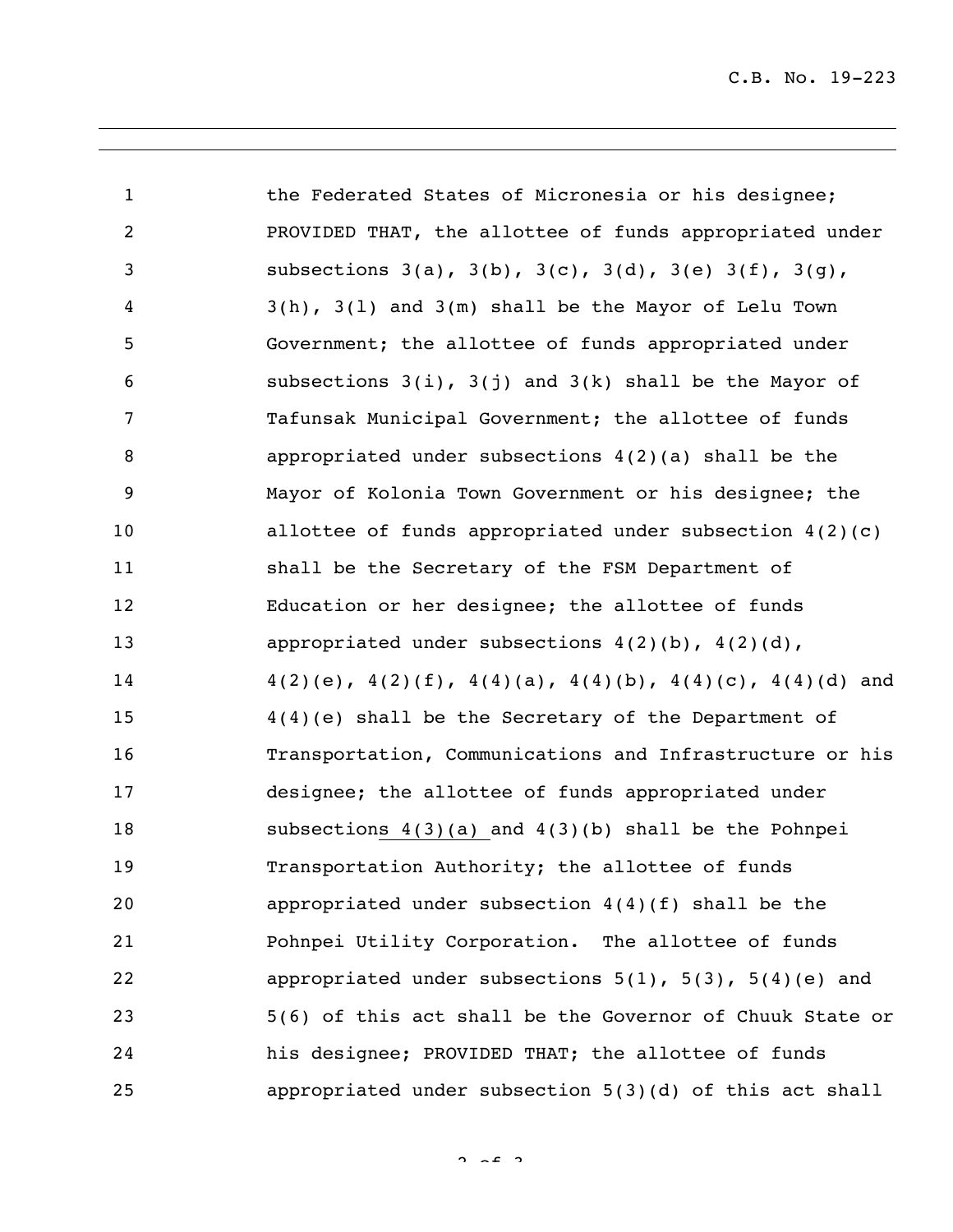| $\mathbf{1}$   | the Federated States of Micronesia or his designee;                       |
|----------------|---------------------------------------------------------------------------|
| $\overline{c}$ | PROVIDED THAT, the allottee of funds appropriated under                   |
| 3              | subsections $3(a)$ , $3(b)$ , $3(c)$ , $3(d)$ , $3(e)$ $3(f)$ , $3(g)$ ,  |
| 4              | $3(h)$ , $3(1)$ and $3(m)$ shall be the Mayor of Lelu Town                |
| 5              | Government; the allottee of funds appropriated under                      |
| 6              | subsections $3(i)$ , $3(j)$ and $3(k)$ shall be the Mayor of              |
| $\overline{7}$ | Tafunsak Municipal Government; the allottee of funds                      |
| 8              | appropriated under subsections $4(2)(a)$ shall be the                     |
| 9              | Mayor of Kolonia Town Government or his designee; the                     |
| 10             | allottee of funds appropriated under subsection $4(2)(c)$                 |
| 11             | shall be the Secretary of the FSM Department of                           |
| 12             | Education or her designee; the allottee of funds                          |
| 13             | appropriated under subsections $4(2)(b)$ , $4(2)(d)$ ,                    |
| 14             | $4(2)(e)$ , $4(2)(f)$ , $4(4)(a)$ , $4(4)(b)$ , $4(4)(c)$ , $4(4)(d)$ and |
| 15             | $4(4)(e)$ shall be the Secretary of the Department of                     |
| 16             | Transportation, Communications and Infrastructure or his                  |
| 17             | designee; the allottee of funds appropriated under                        |
| 18             | subsections $4(3)(a)$ and $4(3)(b)$ shall be the Pohnpei                  |
| 19             | Transportation Authority; the allottee of funds                           |
| 20             | appropriated under subsection $4(4)(f)$ shall be the                      |
| 21             | Pohnpei Utility Corporation. The allottee of funds                        |
| 22             | appropriated under subsections $5(1)$ , $5(3)$ , $5(4)(e)$ and            |
| 23             | 5(6) of this act shall be the Governor of Chuuk State or                  |
| 24             | his designee; PROVIDED THAT; the allottee of funds                        |
| 25             | appropriated under subsection 5(3)(d) of this act shall                   |

 $2 \times 2$